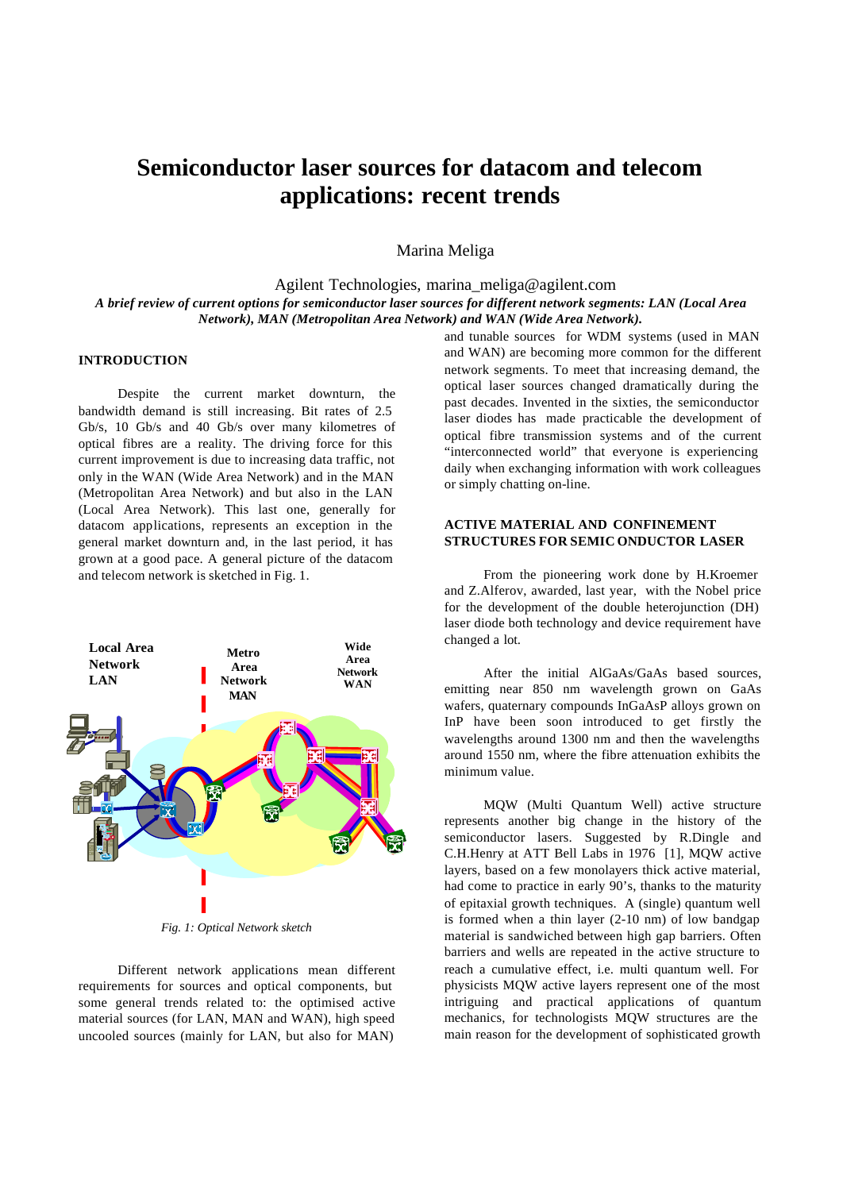# **Semiconductor laser sources for datacom and telecom applications: recent trends**

Marina Meliga

Agilent Technologies, marina\_meliga@agilent.com *A brief review of current options for semiconductor laser sources for different network segments: LAN (Local Area Network), MAN (Metropolitan Area Network) and WAN (Wide Area Network).*

#### **INTRODUCTION**

Despite the current market downturn, the bandwidth demand is still increasing. Bit rates of 2.5 Gb/s, 10 Gb/s and 40 Gb/s over many kilometres of optical fibres are a reality. The driving force for this current improvement is due to increasing data traffic, not only in the WAN (Wide Area Network) and in the MAN (Metropolitan Area Network) and but also in the LAN (Local Area Network). This last one, generally for datacom applications, represents an exception in the general market downturn and, in the last period, it has grown at a good pace. A general picture of the datacom and telecom network is sketched in Fig. 1.



Different network applications mean different requirements for sources and optical components, but some general trends related to: the optimised active material sources (for LAN, MAN and WAN), high speed uncooled sources (mainly for LAN, but also for MAN)

and tunable sources for WDM systems (used in MAN and WAN) are becoming more common for the different network segments. To meet that increasing demand, the optical laser sources changed dramatically during the past decades. Invented in the sixties, the semiconductor laser diodes has made practicable the development of optical fibre transmission systems and of the current "interconnected world" that everyone is experiencing daily when exchanging information with work colleagues or simply chatting on-line.

## **ACTIVE MATERIAL AND CONFINEMENT STRUCTURES FOR SEMIC ONDUCTOR LASER**

From the pioneering work done by H.Kroemer and Z.Alferov, awarded, last year, with the Nobel price for the development of the double heterojunction (DH) laser diode both technology and device requirement have changed a lot.

After the initial AlGaAs/GaAs based sources, emitting near 850 nm wavelength grown on GaAs wafers, quaternary compounds InGaAsP alloys grown on InP have been soon introduced to get firstly the wavelengths around 1300 nm and then the wavelengths around 1550 nm, where the fibre attenuation exhibits the minimum value.

MQW (Multi Quantum Well) active structure represents another big change in the history of the semiconductor lasers. Suggested by R.Dingle and C.H.Henry at ATT Bell Labs in 1976 [1], MQW active layers, based on a few monolayers thick active material, had come to practice in early 90's, thanks to the maturity of epitaxial growth techniques. A (single) quantum well is formed when a thin layer (2-10 nm) of low bandgap material is sandwiched between high gap barriers. Often barriers and wells are repeated in the active structure to reach a cumulative effect, i.e. multi quantum well. For physicists MQW active layers represent one of the most intriguing and practical applications of quantum mechanics, for technologists MQW structures are the main reason for the development of sophisticated growth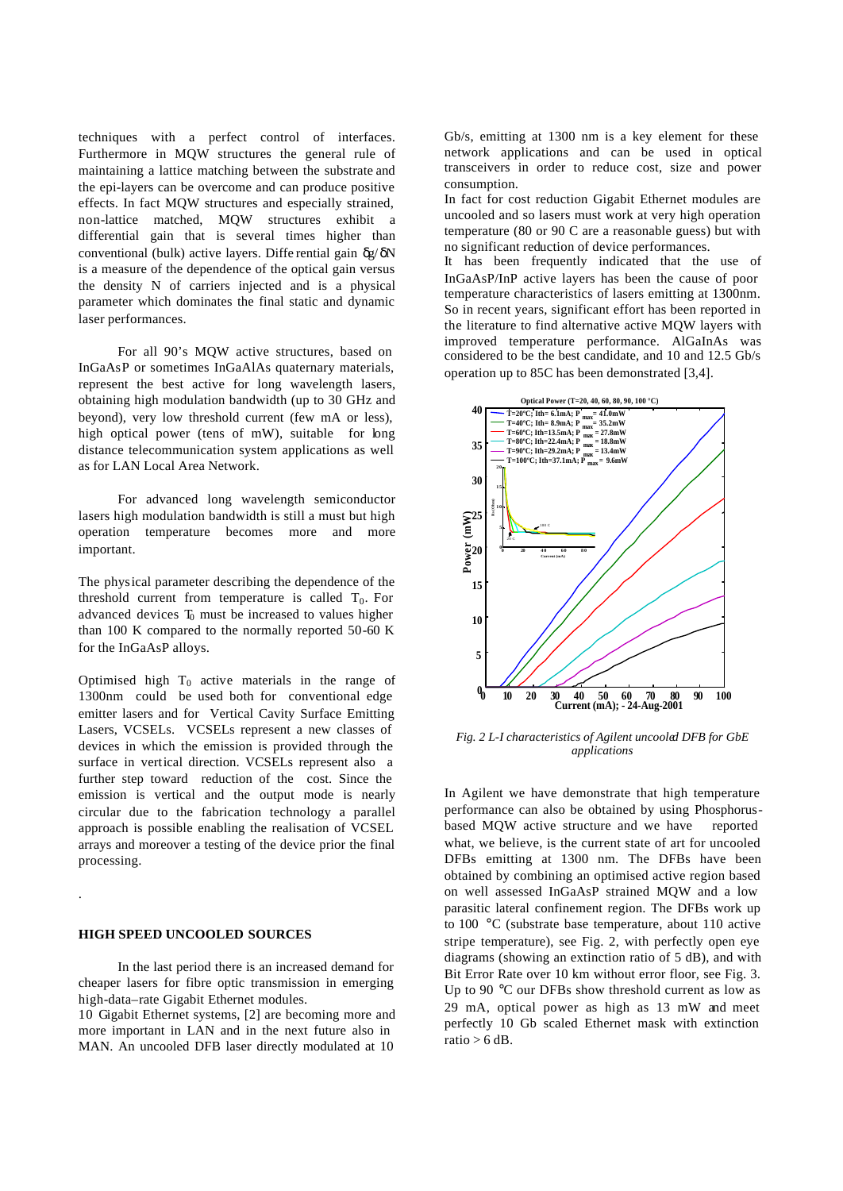techniques with a perfect control of interfaces. Furthermore in MQW structures the general rule of maintaining a lattice matching between the substrate and the epi-layers can be overcome and can produce positive effects. In fact MQW structures and especially strained, non-lattice matched, MQW structures exhibit a differential gain that is several times higher than conventional (bulk) active layers. Diffe rential gain δg/ δN is a measure of the dependence of the optical gain versus the density N of carriers injected and is a physical parameter which dominates the final static and dynamic laser performances.

For all 90's MQW active structures, based on InGaAsP or sometimes InGaAlAs quaternary materials, represent the best active for long wavelength lasers, obtaining high modulation bandwidth (up to 30 GHz and beyond), very low threshold current (few mA or less), high optical power (tens of mW), suitable for long distance telecommunication system applications as well as for LAN Local Area Network.

For advanced long wavelength semiconductor lasers high modulation bandwidth is still a must but high operation temperature becomes more and more important.

The physical parameter describing the dependence of the threshold current from temperature is called  $T_0$ . For advanced devices  $T_0$  must be increased to values higher than 100 K compared to the normally reported 50-60 K for the InGaAsP alloys.

Optimised high  $T_0$  active materials in the range of 1300nm could be used both for conventional edge emitter lasers and for Vertical Cavity Surface Emitting Lasers, VCSELs. VCSELs represent a new classes of devices in which the emission is provided through the surface in vertical direction. VCSELs represent also a further step toward reduction of the cost. Since the emission is vertical and the output mode is nearly circular due to the fabrication technology a parallel approach is possible enabling the realisation of VCSEL arrays and moreover a testing of the device prior the final processing.

#### **HIGH SPEED UNCOOLED SOURCES**

.

In the last period there is an increased demand for cheaper lasers for fibre optic transmission in emerging high-data–rate Gigabit Ethernet modules.

10 Gigabit Ethernet systems, [2] are becoming more and more important in LAN and in the next future also in MAN. An uncooled DFB laser directly modulated at 10

Gb/s, emitting at 1300 nm is a key element for these network applications and can be used in optical transceivers in order to reduce cost, size and power consumption.

In fact for cost reduction Gigabit Ethernet modules are uncooled and so lasers must work at very high operation temperature (80 or 90 C are a reasonable guess) but with no significant reduction of device performances.

It has been frequently indicated that the use of InGaAsP/InP active layers has been the cause of poor temperature characteristics of lasers emitting at 1300nm. So in recent years, significant effort has been reported in the literature to find alternative active MQW layers with improved temperature performance. AlGaInAs was considered to be the best candidate, and 10 and 12.5 Gb/s operation up to 85C has been demonstrated [3,4].



*Fig. 2 L-I characteristics of Agilent uncooled DFB for GbE applications* 

In Agilent we have demonstrate that high temperature performance can also be obtained by using Phosphorusbased MQW active structure and we have reported what, we believe, is the current state of art for uncooled DFBs emitting at 1300 nm. The DFBs have been obtained by combining an optimised active region based on well assessed InGaAsP strained MQW and a low parasitic lateral confinement region. The DFBs work up to 100 °C (substrate base temperature, about 110 active stripe temperature), see Fig. 2, with perfectly open eye diagrams (showing an extinction ratio of 5 dB), and with Bit Error Rate over 10 km without error floor, see Fig. 3. Up to 90 °C our DFBs show threshold current as low as 29 mA, optical power as high as 13 mW and meet perfectly 10 Gb scaled Ethernet mask with extinction ratio  $> 6$  dB.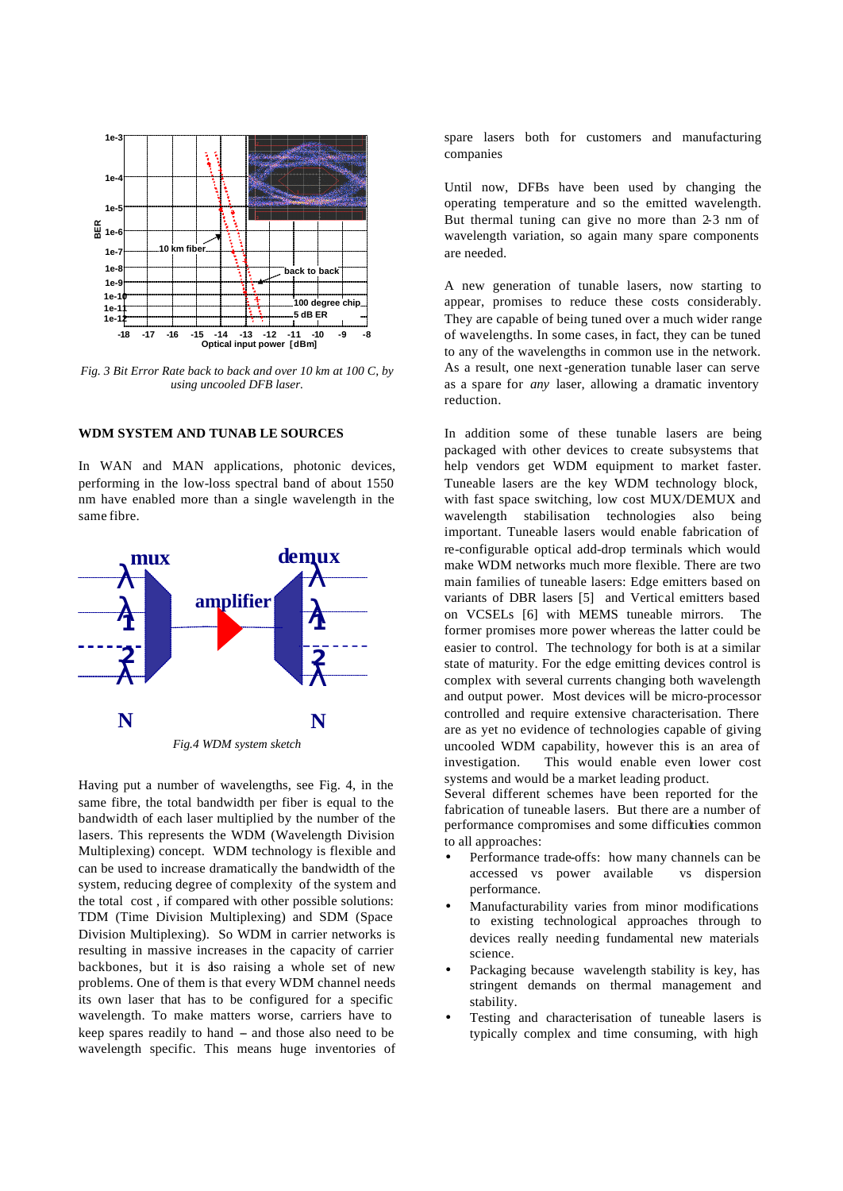

*Fig. 3 Bit Error Rate back to back and over 10 km at 100 C, by using uncooled DFB laser.*

# **WDM SYSTEM AND TUNAB LE SOURCES**

In WAN and MAN applications, photonic devices, performing in the low-loss spectral band of about 1550 nm have enabled more than a single wavelength in the same fibre.



Having put a number of wavelengths, see Fig. 4, in the same fibre, the total bandwidth per fiber is equal to the bandwidth of each laser multiplied by the number of the lasers. This represents the WDM (Wavelength Division Multiplexing) concept. WDM technology is flexible and can be used to increase dramatically the bandwidth of the system, reducing degree of complexity of the system and the total cost , if compared with other possible solutions: TDM (Time Division Multiplexing) and SDM (Space Division Multiplexing). So WDM in carrier networks is resulting in massive increases in the capacity of carrier backbones, but it is also raising a whole set of new problems. One of them is that every WDM channel needs its own laser that has to be configured for a specific wavelength. To make matters worse, carriers have to keep spares readily to hand  $-$  and those also need to be wavelength specific. This means huge inventories of spare lasers both for customers and manufacturing companies

Until now, DFBs have been used by changing the operating temperature and so the emitted wavelength. But thermal tuning can give no more than 2-3 nm of wavelength variation, so again many spare components are needed.

A new generation of tunable lasers, now starting to appear, promises to reduce these costs considerably. They are capable of being tuned over a much wider range of wavelengths. In some cases, in fact, they can be tuned to any of the wavelengths in common use in the network. As a result, one next-generation tunable laser can serve as a spare for *any* laser, allowing a dramatic inventory reduction.

In addition some of these tunable lasers are being packaged with other devices to create subsystems that help vendors get WDM equipment to market faster. Tuneable lasers are the key WDM technology block, with fast space switching, low cost MUX/DEMUX and wavelength stabilisation technologies also being important. Tuneable lasers would enable fabrication of re-configurable optical add-drop terminals which would make WDM networks much more flexible. There are two main families of tuneable lasers: Edge emitters based on variants of DBR lasers [5] and Vertical emitters based on VCSELs [6] with MEMS tuneable mirrors. The former promises more power whereas the latter could be easier to control. The technology for both is at a similar state of maturity. For the edge emitting devices control is complex with several currents changing both wavelength and output power. Most devices will be micro-processor controlled and require extensive characterisation. There are as yet no evidence of technologies capable of giving uncooled WDM capability, however this is an area of investigation. This would enable even lower cost systems and would be a market leading product.

Several different schemes have been reported for the fabrication of tuneable lasers. But there are a number of performance compromises and some difficulties common to all approaches:

- Performance trade-offs: how many channels can be accessed vs power available vs dispersion performance.
- Manufacturability varies from minor modifications to existing technological approaches through to devices really needing fundamental new materials science.
- Packaging because wavelength stability is key, has stringent demands on thermal management and stability.
- Testing and characterisation of tuneable lasers is typically complex and time consuming, with high